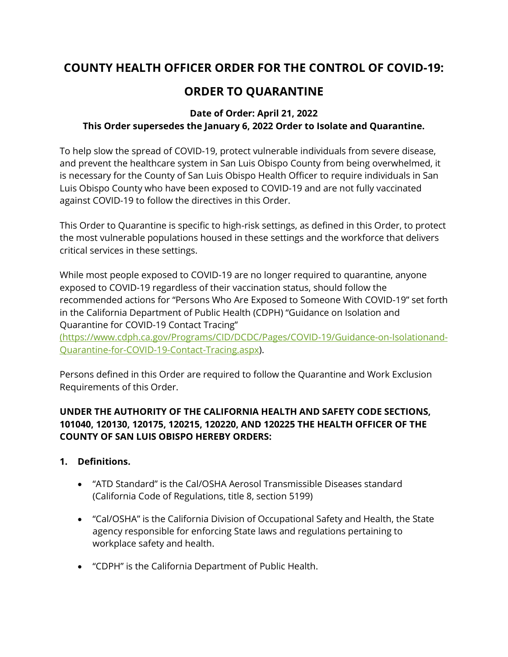# **COUNTY HEALTH OFFICER ORDER FOR THE CONTROL OF COVID-19:**

## **ORDER TO QUARANTINE**

### **Date of Order: April 21, 2022 This Order supersedes the January 6, 2022 Order to Isolate and Quarantine.**

To help slow the spread of COVID-19, protect vulnerable individuals from severe disease, and prevent the healthcare system in San Luis Obispo County from being overwhelmed, it is necessary for the County of San Luis Obispo Health Officer to require individuals in San Luis Obispo County who have been exposed to COVID-19 and are not fully vaccinated against COVID-19 to follow the directives in this Order.

This Order to Quarantine is specific to high-risk settings, as defined in this Order, to protect the most vulnerable populations housed in these settings and the workforce that delivers critical services in these settings.

While most people exposed to COVID-19 are no longer required to quarantine, anyone exposed to COVID-19 regardless of their vaccination status, should follow the recommended actions for "Persons Who Are Exposed to Someone With COVID-19" set forth in the California Department of Public Health (CDPH) "Guidance on Isolation and Quarantine for COVID-19 Contact Tracing"

[\(https://www.cdph.ca.gov/Programs/CID/DCDC/Pages/COVID-19/Guidance-on-Isolationand-](file://///wings.co.slo.ca.us/Health%20Agency/PH/PH_ADMIN/Policies/Policies%20in%20Word/COVID-19%20Orders%20and%20Guidance/COVID-19%20Health%20Officer%20Orders/COVID-19%20Health%20Officer%20Orders%20WIP/(https:/www.cdph.ca.gov/Programs/CID/DCDC/Pages/COVID-19/Guidance-on-Isolationand-Quarantine-for-COVID-19-Contact-Tracing.aspx)[Quarantine-for-COVID-19-Contact-Tracing.aspx\)](file://///wings.co.slo.ca.us/Health%20Agency/PH/PH_ADMIN/Policies/Policies%20in%20Word/COVID-19%20Orders%20and%20Guidance/COVID-19%20Health%20Officer%20Orders/COVID-19%20Health%20Officer%20Orders%20WIP/(https:/www.cdph.ca.gov/Programs/CID/DCDC/Pages/COVID-19/Guidance-on-Isolationand-Quarantine-for-COVID-19-Contact-Tracing.aspx).

Persons defined in this Order are required to follow the Quarantine and Work Exclusion Requirements of this Order.

#### **UNDER THE AUTHORITY OF THE CALIFORNIA HEALTH AND SAFETY CODE SECTIONS, 101040, 120130, 120175, 120215, 120220, AND 120225 THE HEALTH OFFICER OF THE COUNTY OF SAN LUIS OBISPO HEREBY ORDERS:**

- **1. Definitions.**
	- "ATD Standard" is the Cal/OSHA Aerosol Transmissible Diseases standard (California Code of Regulations, title 8, section 5199)
	- "Cal/OSHA" is the California Division of Occupational Safety and Health, the State agency responsible for enforcing State laws and regulations pertaining to workplace safety and health.
	- "CDPH" is the California Department of Public Health.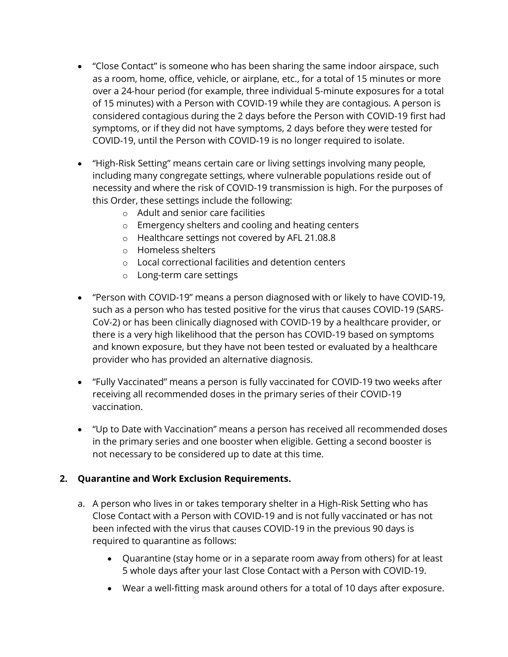- "Close Contact" is someone who has been sharing the same indoor airspace, such as a room, home, office, vehicle, or airplane, etc., for a total of 15 minutes or more over a 24-hour period (for example, three individual 5-minute exposures for a total of 15 minutes) with a Person with COVID-19 while they are contagious. A person is considered contagious during the 2 days before the Person with COVID-19 first had symptoms, or if they did not have symptoms, 2 days before they were tested for COVID-19, until the Person with COVID-19 is no longer required to isolate.
- "High-Risk Setting" means certain care or living settings involving many people, including many congregate settings, where vulnerable populations reside out of necessity and where the risk of COVID-19 transmission is high. For the purposes of this Order, these settings include the following:
	- o Adult and senior care facilities
	- o Emergency shelters and cooling and heating centers
	- o Healthcare settings not covered by AFL 21.08.8
	- o Homeless shelters
	- o Local correctional facilities and detention centers
	- o Long-term care settings
- "Person with COVID-19" means a person diagnosed with or likely to have COVID-19, such as a person who has tested positive for the virus that causes COVID-19 (SARS-CoV-2) or has been clinically diagnosed with COVID-19 by a healthcare provider, or there is a very high likelihood that the person has COVID-19 based on symptoms and known exposure, but they have not been tested or evaluated by a healthcare provider who has provided an alternative diagnosis.
- "Fully Vaccinated" means a person is fully vaccinated for COVID-19 two weeks after receiving all recommended doses in the primary series of their COVID-19 vaccination.
- "Up to Date with Vaccination" means a person has received all recommended doses in the primary series and one booster when eligible. Getting a second booster is not necessary to be considered up to date at this time.

#### **2. Quarantine and Work Exclusion Requirements.**

- a. A person who lives in or takes temporary shelter in a High-Risk Setting who has Close Contact with a Person with COVID-19 and is not fully vaccinated or has not been infected with the virus that causes COVID-19 in the previous 90 days is required to quarantine as follows:
	- Quarantine (stay home or in a separate room away from others) for at least 5 whole days after your last Close Contact with a Person with COVID-19.
	- Wear a well-fitting mask around others for a total of 10 days after exposure.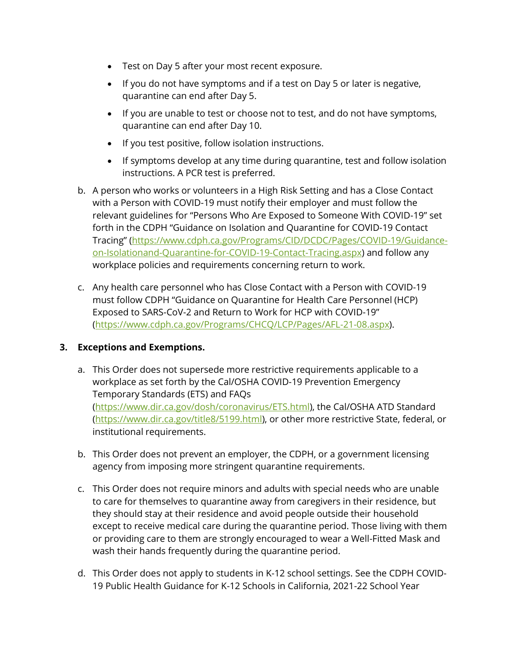- Test on Day 5 after your most recent exposure.
- If you do not have symptoms and if a test on Day 5 or later is negative, quarantine can end after Day 5.
- If you are unable to test or choose not to test, and do not have symptoms, quarantine can end after Day 10.
- If you test positive, follow isolation instructions.
- If symptoms develop at any time during quarantine, test and follow isolation instructions. A PCR test is preferred.
- b. A person who works or volunteers in a High Risk Setting and has a Close Contact with a Person with COVID-19 must notify their employer and must follow the relevant guidelines for "Persons Who Are Exposed to Someone With COVID-19" set forth in the CDPH "Guidance on Isolation and Quarantine for COVID-19 Contact Tracing" ([https://www.cdph.ca.gov/Programs/CID/DCDC/Pages/COVID-19/Guidance](https://www.cdph.ca.gov/Programs/CID/DCDC/Pages/COVID-19/Guidance-on-Isolationand-Quarantine-for-COVID-19-Contact-Tracing.aspx)[on-Isolationand-Quarantine-for-COVID-19-Contact-Tracing.aspx\)](https://www.cdph.ca.gov/Programs/CID/DCDC/Pages/COVID-19/Guidance-on-Isolationand-Quarantine-for-COVID-19-Contact-Tracing.aspx) and follow any workplace policies and requirements concerning return to work.
- c. Any health care personnel who has Close Contact with a Person with COVID-19 must follow CDPH "Guidance on Quarantine for Health Care Personnel (HCP) Exposed to SARS-CoV-2 and Return to Work for HCP with COVID-19" [\(https://www.cdph.ca.gov/Programs/CHCQ/LCP/Pages/AFL-21-08.aspx\)](https://www.cdph.ca.gov/Programs/CHCQ/LCP/Pages/AFL-21-08.aspx).

#### **3. Exceptions and Exemptions.**

- a. This Order does not supersede more restrictive requirements applicable to a workplace as set forth by the Cal/OSHA COVID-19 Prevention Emergency Temporary Standards (ETS) and FAQs (https://www.dir.ca.gov/dosh/coronavirus/ETS.html), the Cal/OSHA ATD Standard (https://www.dir.ca.gov/title8/5199.html), or other more restrictive State, federal, or institutional requirements.
- b. This Order does not prevent an employer, the CDPH, or a government licensing agency from imposing more stringent quarantine requirements.
- c. This Order does not require minors and adults with special needs who are unable to care for themselves to quarantine away from caregivers in their residence, but they should stay at their residence and avoid people outside their household except to receive medical care during the quarantine period. Those living with them or providing care to them are strongly encouraged to wear a Well-Fitted Mask and wash their hands frequently during the quarantine period.
- d. This Order does not apply to students in K-12 school settings. See the CDPH COVID-19 Public Health Guidance for K-12 Schools in California, 2021-22 School Year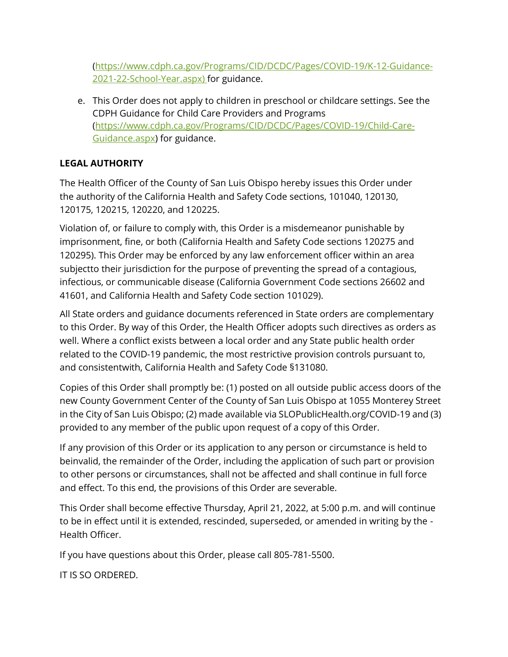(https://www.cdph.ca.gov/Programs/CID/DCDC/Pages/COVID-19/K-12-Guidance-2021-22-School-Year.aspx) for guidance.

e. This Order does not apply to children in preschool or childcare settings. See the CDPH Guidance for Child Care Providers and Programs [\(https://www.cdph.ca.gov/Programs/CID/DCDC/Pages/COVID-19/Child-Care-](https://www.cdph.ca.gov/Programs/CID/DCDC/Pages/COVID-19/Child-Care-Guidance.aspx)[Guidance.aspx\)](https://www.cdph.ca.gov/Programs/CID/DCDC/Pages/COVID-19/Child-Care-Guidance.aspx) for guidance.

### **LEGAL AUTHORITY**

The Health Officer of the County of San Luis Obispo hereby issues this Order under the authority of the California Health and Safety Code sections, 101040, 120130, 120175, 120215, 120220, and 120225.

Violation of, or failure to comply with, this Order is a misdemeanor punishable by imprisonment, fine, or both (California Health and Safety Code sections 120275 and 120295). This Order may be enforced by any law enforcement officer within an area subjectto their jurisdiction for the purpose of preventing the spread of a contagious, infectious, or communicable disease (California Government Code sections 26602 and 41601, and California Health and Safety Code section 101029).

All State orders and guidance documents referenced in State orders are complementary to this Order. By way of this Order, the Health Officer adopts such directives as orders as well. Where a conflict exists between a local order and any State public health order related to the COVID-19 pandemic, the most restrictive provision controls pursuant to, and consistentwith, California Health and Safety Code §131080.

Copies of this Order shall promptly be: (1) posted on all outside public access doors of the new County Government Center of the County of San Luis Obispo at 1055 Monterey Street in the City of San Luis Obispo; (2) made available via SLOPublicHealth.org/COVID-19 and (3) provided to any member of the public upon request of a copy of this Order.

If any provision of this Order or its application to any person or circumstance is held to beinvalid, the remainder of the Order, including the application of such part or provision to other persons or circumstances, shall not be affected and shall continue in full force and effect. To this end, the provisions of this Order are severable.

This Order shall become effective Thursday, April 21, 2022, at 5:00 p.m. and will continue to be in effect until it is extended, rescinded, superseded, or amended in writing by the - Health Officer.

If you have questions about this Order, please call 805-781-5500.

IT IS SO ORDERED.